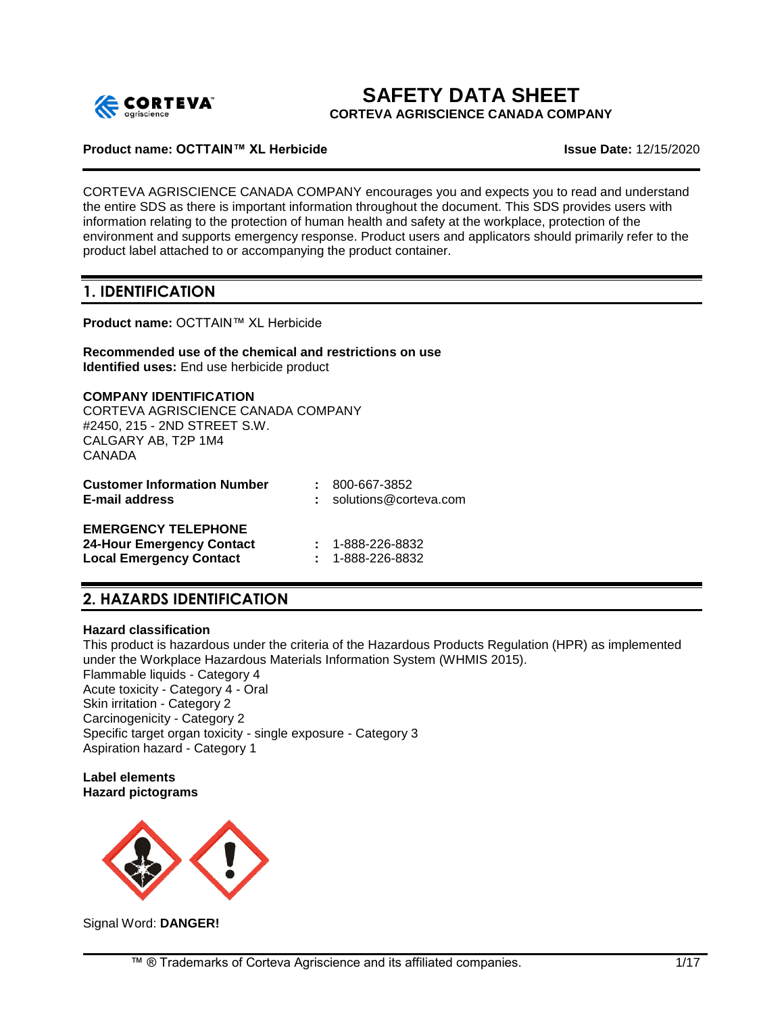

# **SAFETY DATA SHEET**

**CORTEVA AGRISCIENCE CANADA COMPANY**

## **Product name: OCTTAIN™ XL Herbicide Issue Date:** 12/15/2020

CORTEVA AGRISCIENCE CANADA COMPANY encourages you and expects you to read and understand the entire SDS as there is important information throughout the document. This SDS provides users with information relating to the protection of human health and safety at the workplace, protection of the environment and supports emergency response. Product users and applicators should primarily refer to the product label attached to or accompanying the product container.

# **1. IDENTIFICATION**

**Product name:** OCTTAIN™ XL Herbicide

**Recommended use of the chemical and restrictions on use Identified uses:** End use herbicide product

**COMPANY IDENTIFICATION** CORTEVA AGRISCIENCE CANADA COMPANY #2450, 215 - 2ND STREET S.W. CALGARY AB, T2P 1M4 CANADA

| <b>Customer Information Number</b> | : 800-667-3852                   |
|------------------------------------|----------------------------------|
| E-mail address                     | $:$ solutions@corteva.com        |
| <b>EMERGENCY TELEPHONE</b>         |                                  |
| <b>Of Harm Freezeways Occident</b> | $\sim$ $\sim$ 0.000 0.000 $\sim$ |

**24-Hour Emergency Contact :** 1-888-226-8832 **Local Emergency Contact :** 1-888-226-8832

# **2. HAZARDS IDENTIFICATION**

#### **Hazard classification**

This product is hazardous under the criteria of the Hazardous Products Regulation (HPR) as implemented under the Workplace Hazardous Materials Information System (WHMIS 2015). Flammable liquids - Category 4 Acute toxicity - Category 4 - Oral Skin irritation - Category 2 Carcinogenicity - Category 2 Specific target organ toxicity - single exposure - Category 3 Aspiration hazard - Category 1

#### **Label elements Hazard pictograms**



Signal Word: **DANGER!**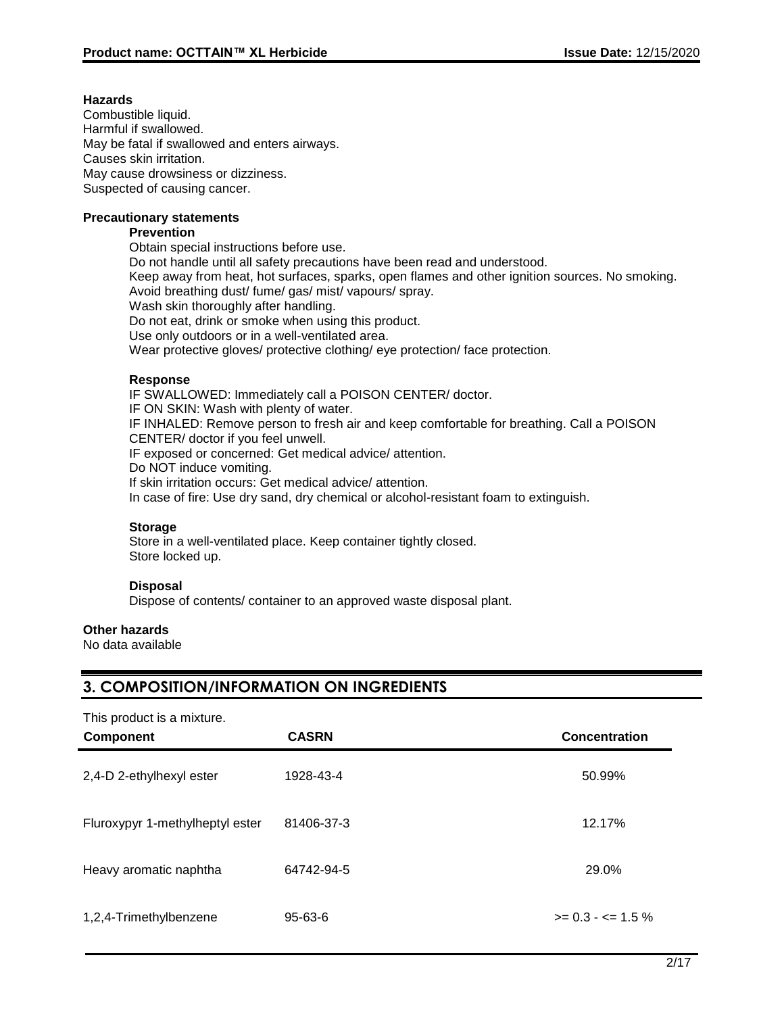# **Hazards**

Combustible liquid. Harmful if swallowed. May be fatal if swallowed and enters airways. Causes skin irritation. May cause drowsiness or dizziness. Suspected of causing cancer.

#### **Precautionary statements**

## **Prevention**

Obtain special instructions before use. Do not handle until all safety precautions have been read and understood. Keep away from heat, hot surfaces, sparks, open flames and other ignition sources. No smoking. Avoid breathing dust/ fume/ gas/ mist/ vapours/ spray. Wash skin thoroughly after handling. Do not eat, drink or smoke when using this product. Use only outdoors or in a well-ventilated area. Wear protective gloves/ protective clothing/ eye protection/ face protection.

## **Response**

IF SWALLOWED: Immediately call a POISON CENTER/ doctor. IF ON SKIN: Wash with plenty of water. IF INHALED: Remove person to fresh air and keep comfortable for breathing. Call a POISON CENTER/ doctor if you feel unwell. IF exposed or concerned: Get medical advice/ attention. Do NOT induce vomiting. If skin irritation occurs: Get medical advice/ attention. In case of fire: Use dry sand, dry chemical or alcohol-resistant foam to extinguish.

# **Storage**

Store in a well-ventilated place. Keep container tightly closed. Store locked up.

#### **Disposal**

Dispose of contents/ container to an approved waste disposal plant.

#### **Other hazards**

No data available

# **3. COMPOSITION/INFORMATION ON INGREDIENTS**

| This product is a mixture.<br><b>Component</b> | <b>CASRN</b>  | <b>Concentration</b>         |
|------------------------------------------------|---------------|------------------------------|
| 2,4-D 2-ethylhexyl ester                       | 1928-43-4     | 50.99%                       |
| Fluroxypyr 1-methylheptyl ester                | 81406-37-3    | 12.17%                       |
| Heavy aromatic naphtha                         | 64742-94-5    | 29.0%                        |
| 1,2,4-Trimethylbenzene                         | $95 - 63 - 6$ | $>= 0.3 - \epsilon = 1.5 \%$ |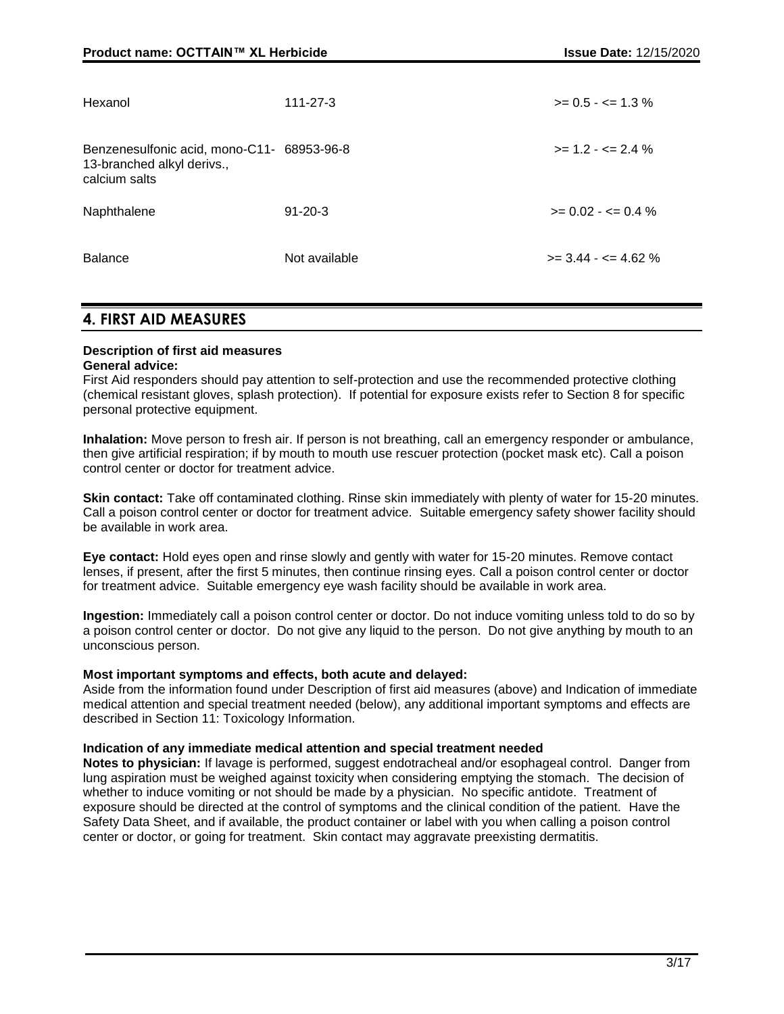| Hexanol                                                                                   | $111 - 27 - 3$ | $>= 0.5 - \le 1.3\%$          |
|-------------------------------------------------------------------------------------------|----------------|-------------------------------|
| Benzenesulfonic acid, mono-C11- 68953-96-8<br>13-branched alkyl derivs.,<br>calcium salts |                | $>= 1.2 - \le 2.4\%$          |
| Naphthalene                                                                               | $91 - 20 - 3$  | $>= 0.02 - \epsilon = 0.4 \%$ |
| <b>Balance</b>                                                                            | Not available  | $>=$ 3.44 - $<=$ 4.62 %       |

# **4. FIRST AID MEASURES**

#### **Description of first aid measures General advice:**

First Aid responders should pay attention to self-protection and use the recommended protective clothing (chemical resistant gloves, splash protection). If potential for exposure exists refer to Section 8 for specific personal protective equipment.

**Inhalation:** Move person to fresh air. If person is not breathing, call an emergency responder or ambulance, then give artificial respiration; if by mouth to mouth use rescuer protection (pocket mask etc). Call a poison control center or doctor for treatment advice.

**Skin contact:** Take off contaminated clothing. Rinse skin immediately with plenty of water for 15-20 minutes. Call a poison control center or doctor for treatment advice. Suitable emergency safety shower facility should be available in work area.

**Eye contact:** Hold eyes open and rinse slowly and gently with water for 15-20 minutes. Remove contact lenses, if present, after the first 5 minutes, then continue rinsing eyes. Call a poison control center or doctor for treatment advice. Suitable emergency eye wash facility should be available in work area.

**Ingestion:** Immediately call a poison control center or doctor. Do not induce vomiting unless told to do so by a poison control center or doctor. Do not give any liquid to the person. Do not give anything by mouth to an unconscious person.

#### **Most important symptoms and effects, both acute and delayed:**

Aside from the information found under Description of first aid measures (above) and Indication of immediate medical attention and special treatment needed (below), any additional important symptoms and effects are described in Section 11: Toxicology Information.

#### **Indication of any immediate medical attention and special treatment needed**

**Notes to physician:** If lavage is performed, suggest endotracheal and/or esophageal control. Danger from lung aspiration must be weighed against toxicity when considering emptying the stomach. The decision of whether to induce vomiting or not should be made by a physician. No specific antidote. Treatment of exposure should be directed at the control of symptoms and the clinical condition of the patient. Have the Safety Data Sheet, and if available, the product container or label with you when calling a poison control center or doctor, or going for treatment. Skin contact may aggravate preexisting dermatitis.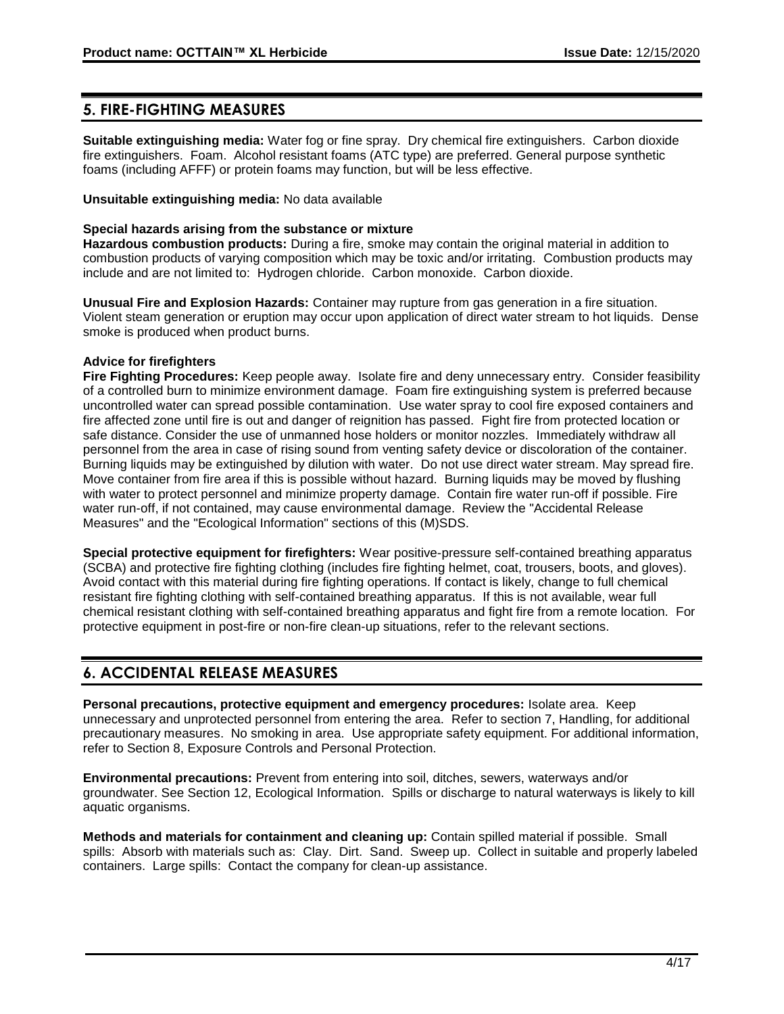# **5. FIRE-FIGHTING MEASURES**

**Suitable extinguishing media:** Water fog or fine spray. Dry chemical fire extinguishers. Carbon dioxide fire extinguishers. Foam. Alcohol resistant foams (ATC type) are preferred. General purpose synthetic foams (including AFFF) or protein foams may function, but will be less effective.

#### **Unsuitable extinguishing media:** No data available

## **Special hazards arising from the substance or mixture**

**Hazardous combustion products:** During a fire, smoke may contain the original material in addition to combustion products of varying composition which may be toxic and/or irritating. Combustion products may include and are not limited to: Hydrogen chloride. Carbon monoxide. Carbon dioxide.

**Unusual Fire and Explosion Hazards:** Container may rupture from gas generation in a fire situation. Violent steam generation or eruption may occur upon application of direct water stream to hot liquids. Dense smoke is produced when product burns.

# **Advice for firefighters**

**Fire Fighting Procedures:** Keep people away. Isolate fire and deny unnecessary entry. Consider feasibility of a controlled burn to minimize environment damage. Foam fire extinguishing system is preferred because uncontrolled water can spread possible contamination. Use water spray to cool fire exposed containers and fire affected zone until fire is out and danger of reignition has passed. Fight fire from protected location or safe distance. Consider the use of unmanned hose holders or monitor nozzles. Immediately withdraw all personnel from the area in case of rising sound from venting safety device or discoloration of the container. Burning liquids may be extinguished by dilution with water. Do not use direct water stream. May spread fire. Move container from fire area if this is possible without hazard. Burning liquids may be moved by flushing with water to protect personnel and minimize property damage. Contain fire water run-off if possible. Fire water run-off, if not contained, may cause environmental damage. Review the "Accidental Release Measures" and the "Ecological Information" sections of this (M)SDS.

**Special protective equipment for firefighters:** Wear positive-pressure self-contained breathing apparatus (SCBA) and protective fire fighting clothing (includes fire fighting helmet, coat, trousers, boots, and gloves). Avoid contact with this material during fire fighting operations. If contact is likely, change to full chemical resistant fire fighting clothing with self-contained breathing apparatus. If this is not available, wear full chemical resistant clothing with self-contained breathing apparatus and fight fire from a remote location. For protective equipment in post-fire or non-fire clean-up situations, refer to the relevant sections.

# **6. ACCIDENTAL RELEASE MEASURES**

**Personal precautions, protective equipment and emergency procedures:** Isolate area. Keep unnecessary and unprotected personnel from entering the area. Refer to section 7, Handling, for additional precautionary measures. No smoking in area. Use appropriate safety equipment. For additional information, refer to Section 8, Exposure Controls and Personal Protection.

**Environmental precautions:** Prevent from entering into soil, ditches, sewers, waterways and/or groundwater. See Section 12, Ecological Information. Spills or discharge to natural waterways is likely to kill aquatic organisms.

**Methods and materials for containment and cleaning up:** Contain spilled material if possible. Small spills: Absorb with materials such as: Clay. Dirt. Sand. Sweep up. Collect in suitable and properly labeled containers. Large spills: Contact the company for clean-up assistance.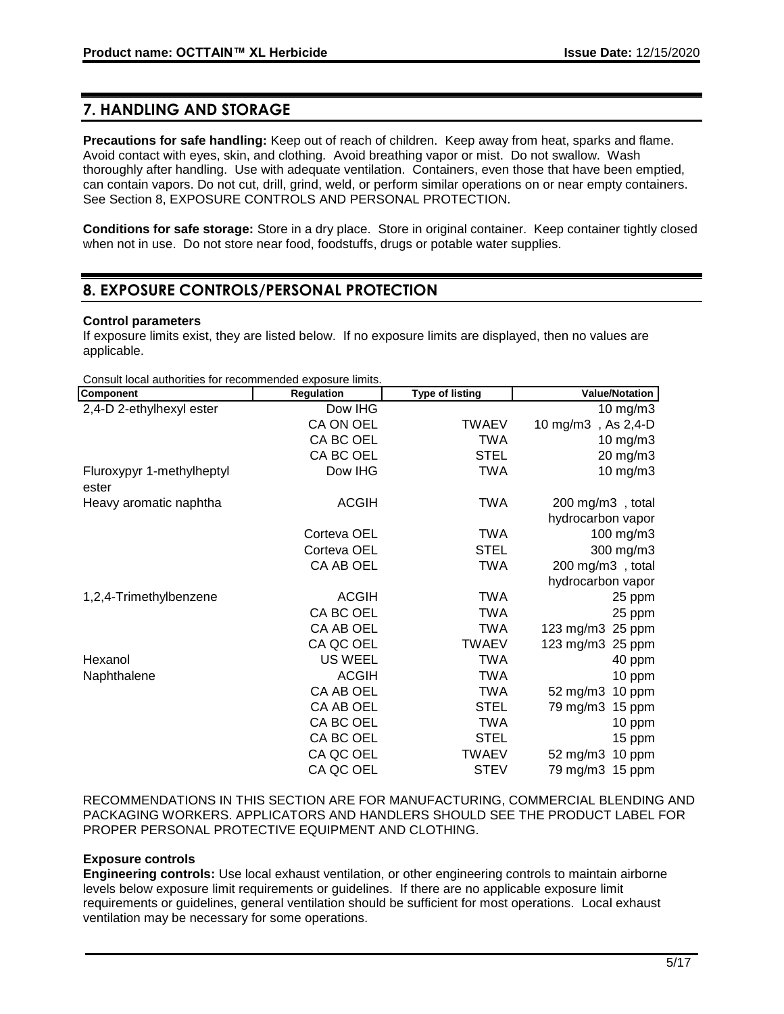# **7. HANDLING AND STORAGE**

**Precautions for safe handling:** Keep out of reach of children. Keep away from heat, sparks and flame. Avoid contact with eyes, skin, and clothing. Avoid breathing vapor or mist. Do not swallow. Wash thoroughly after handling. Use with adequate ventilation. Containers, even those that have been emptied, can contain vapors. Do not cut, drill, grind, weld, or perform similar operations on or near empty containers. See Section 8, EXPOSURE CONTROLS AND PERSONAL PROTECTION.

**Conditions for safe storage:** Store in a dry place. Store in original container. Keep container tightly closed when not in use. Do not store near food, foodstuffs, drugs or potable water supplies.

# **8. EXPOSURE CONTROLS/PERSONAL PROTECTION**

#### **Control parameters**

If exposure limits exist, they are listed below. If no exposure limits are displayed, then no values are applicable.

Consult local authorities for recommended exposure limits.

| Component                          | <b>Regulation</b> | <b>Type of listing</b> | <b>Value/Notation</b>         |
|------------------------------------|-------------------|------------------------|-------------------------------|
| 2,4-D 2-ethylhexyl ester           | Dow IHG           |                        | 10 mg/m3                      |
|                                    | CA ON OEL         | <b>TWAEV</b>           | 10 mg/m3, As 2,4-D            |
|                                    | CA BC OEL         | <b>TWA</b>             | $10$ mg/m $3$                 |
|                                    | CA BC OEL         | <b>STEL</b>            | 20 mg/m3                      |
| Fluroxypyr 1-methylheptyl<br>ester | Dow IHG           | TWA                    | $10 \text{ mg/m}$ 3           |
| Heavy aromatic naphtha             | <b>ACGIH</b>      | <b>TWA</b>             | 200 mg/m3, total              |
|                                    |                   |                        | hydrocarbon vapor             |
|                                    | Corteva OEL       | <b>TWA</b>             | 100 mg/m3                     |
|                                    | Corteva OEL       | <b>STEL</b>            | 300 mg/m3                     |
|                                    | CA AB OEL         | <b>TWA</b>             | 200 mg/m3, total              |
|                                    |                   |                        | hydrocarbon vapor             |
| 1,2,4-Trimethylbenzene             | <b>ACGIH</b>      | <b>TWA</b>             | 25 ppm                        |
|                                    | CA BC OEL         | TWA                    | 25 ppm                        |
|                                    | CA AB OEL         | <b>TWA</b>             | 123 mg/m3 25 ppm              |
|                                    | CA QC OEL         | <b>TWAEV</b>           | 123 mg/m3 25 ppm              |
| Hexanol                            | <b>US WEEL</b>    | <b>TWA</b>             | 40 ppm                        |
| Naphthalene                        | <b>ACGIH</b>      | <b>TWA</b>             | 10 ppm                        |
|                                    | CA AB OEL         | <b>TWA</b>             | $52 \text{ mg/m}$ 3<br>10 ppm |
|                                    | CA AB OEL         | <b>STEL</b>            | 79 mg/m3 15 ppm               |
|                                    | CA BC OEL         | <b>TWA</b>             | 10 ppm                        |
|                                    | CA BC OEL         | <b>STEL</b>            | 15 ppm                        |
|                                    | CA QC OEL         | <b>TWAEV</b>           | $52 \text{ mg/m}$ 3<br>10 ppm |
|                                    | CA QC OEL         | <b>STEV</b>            | 79 mg/m3 15 ppm               |

RECOMMENDATIONS IN THIS SECTION ARE FOR MANUFACTURING, COMMERCIAL BLENDING AND PACKAGING WORKERS. APPLICATORS AND HANDLERS SHOULD SEE THE PRODUCT LABEL FOR PROPER PERSONAL PROTECTIVE EQUIPMENT AND CLOTHING.

#### **Exposure controls**

**Engineering controls:** Use local exhaust ventilation, or other engineering controls to maintain airborne levels below exposure limit requirements or guidelines. If there are no applicable exposure limit requirements or guidelines, general ventilation should be sufficient for most operations. Local exhaust ventilation may be necessary for some operations.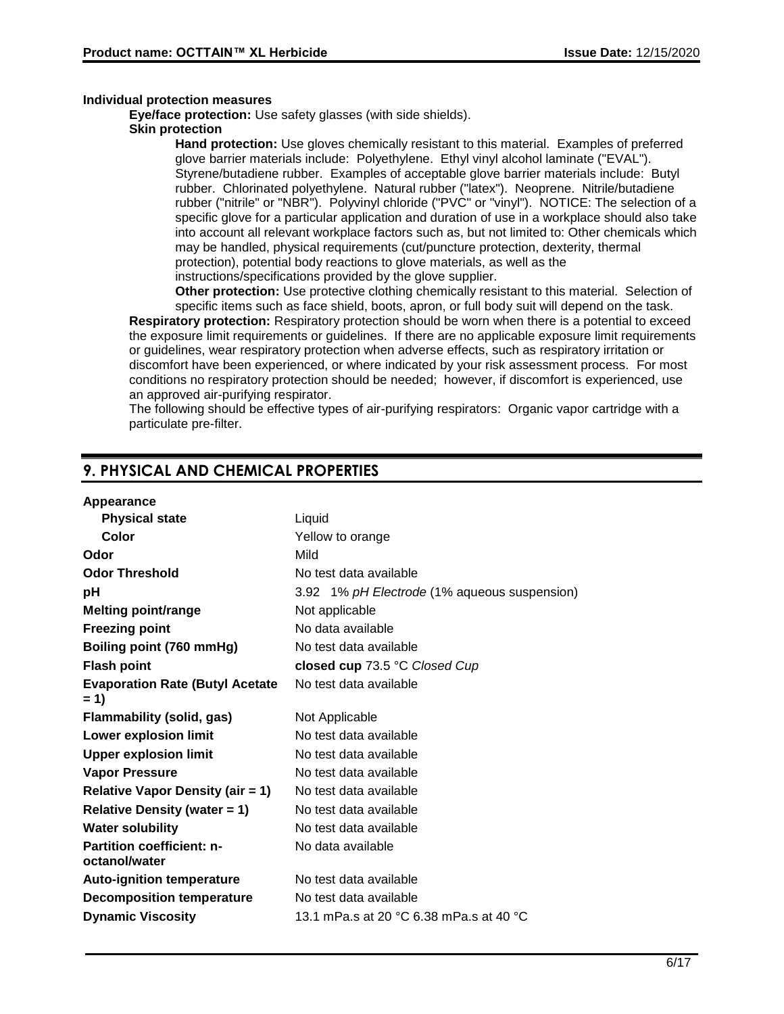#### **Individual protection measures**

**Eve/face protection:** Use safety glasses (with side shields).

## **Skin protection**

**Hand protection:** Use gloves chemically resistant to this material. Examples of preferred glove barrier materials include: Polyethylene. Ethyl vinyl alcohol laminate ("EVAL"). Styrene/butadiene rubber. Examples of acceptable glove barrier materials include: Butyl rubber. Chlorinated polyethylene. Natural rubber ("latex"). Neoprene. Nitrile/butadiene rubber ("nitrile" or "NBR"). Polyvinyl chloride ("PVC" or "vinyl"). NOTICE: The selection of a specific glove for a particular application and duration of use in a workplace should also take into account all relevant workplace factors such as, but not limited to: Other chemicals which may be handled, physical requirements (cut/puncture protection, dexterity, thermal protection), potential body reactions to glove materials, as well as the instructions/specifications provided by the glove supplier.

**Other protection:** Use protective clothing chemically resistant to this material. Selection of specific items such as face shield, boots, apron, or full body suit will depend on the task.

**Respiratory protection:** Respiratory protection should be worn when there is a potential to exceed the exposure limit requirements or guidelines. If there are no applicable exposure limit requirements or guidelines, wear respiratory protection when adverse effects, such as respiratory irritation or discomfort have been experienced, or where indicated by your risk assessment process. For most conditions no respiratory protection should be needed; however, if discomfort is experienced, use an approved air-purifying respirator.

The following should be effective types of air-purifying respirators: Organic vapor cartridge with a particulate pre-filter.

# **9. PHYSICAL AND CHEMICAL PROPERTIES**

## **Appearance**

| Liquid                                       |
|----------------------------------------------|
| Yellow to orange                             |
| Mild                                         |
| No test data available                       |
| 3.92 1% pH Electrode (1% aqueous suspension) |
| Not applicable                               |
| No data available                            |
| No test data available                       |
| closed cup 73.5 °C Closed Cup                |
| No test data available                       |
| Not Applicable                               |
| No test data available                       |
| No test data available                       |
| No test data available                       |
| No test data available                       |
| No test data available                       |
| No test data available                       |
| No data available                            |
| No test data available                       |
| No test data available                       |
| 13.1 mPa.s at 20 °C 6.38 mPa.s at 40 °C      |
|                                              |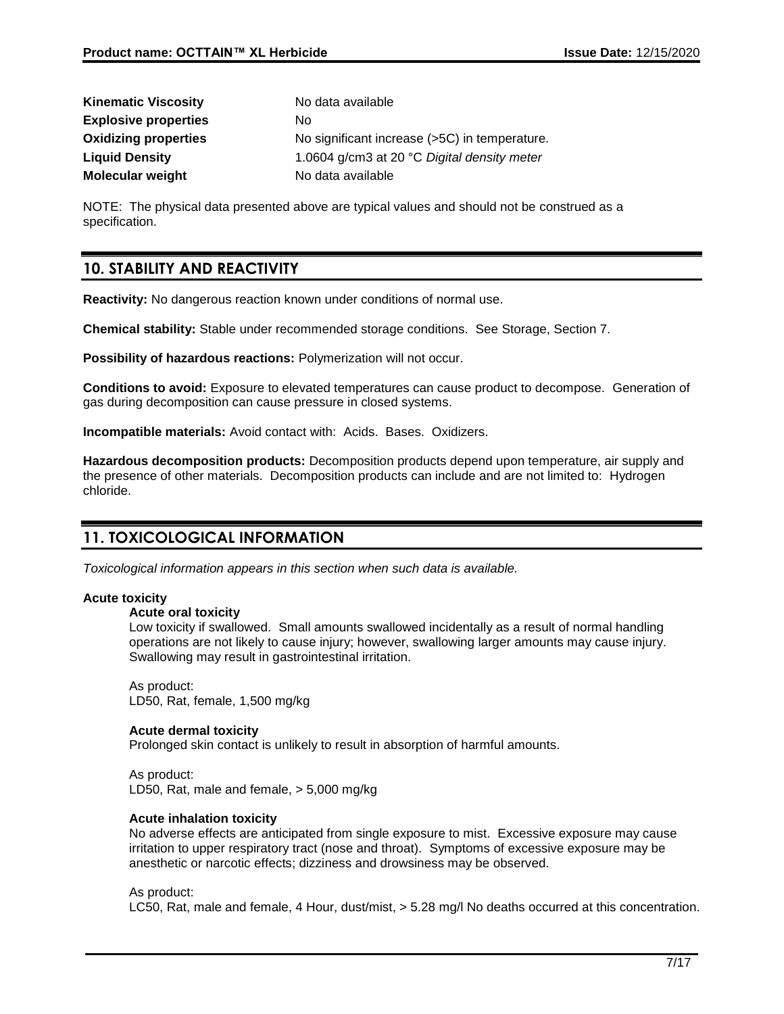| <b>Kinematic Viscosity</b>  | No data available                             |
|-----------------------------|-----------------------------------------------|
| <b>Explosive properties</b> | No.                                           |
| <b>Oxidizing properties</b> | No significant increase (>5C) in temperature. |
| <b>Liquid Density</b>       | 1.0604 g/cm3 at 20 °C Digital density meter   |
| <b>Molecular weight</b>     | No data available                             |

NOTE: The physical data presented above are typical values and should not be construed as a specification.

# **10. STABILITY AND REACTIVITY**

**Reactivity:** No dangerous reaction known under conditions of normal use.

**Chemical stability:** Stable under recommended storage conditions. See Storage, Section 7.

**Possibility of hazardous reactions:** Polymerization will not occur.

**Conditions to avoid:** Exposure to elevated temperatures can cause product to decompose. Generation of gas during decomposition can cause pressure in closed systems.

**Incompatible materials:** Avoid contact with: Acids. Bases. Oxidizers.

**Hazardous decomposition products:** Decomposition products depend upon temperature, air supply and the presence of other materials. Decomposition products can include and are not limited to: Hydrogen chloride.

# **11. TOXICOLOGICAL INFORMATION**

*Toxicological information appears in this section when such data is available.*

#### **Acute toxicity**

#### **Acute oral toxicity**

Low toxicity if swallowed. Small amounts swallowed incidentally as a result of normal handling operations are not likely to cause injury; however, swallowing larger amounts may cause injury. Swallowing may result in gastrointestinal irritation.

As product: LD50, Rat, female, 1,500 mg/kg

#### **Acute dermal toxicity**

Prolonged skin contact is unlikely to result in absorption of harmful amounts.

As product: LD50, Rat, male and female, > 5,000 mg/kg

#### **Acute inhalation toxicity**

No adverse effects are anticipated from single exposure to mist. Excessive exposure may cause irritation to upper respiratory tract (nose and throat). Symptoms of excessive exposure may be anesthetic or narcotic effects; dizziness and drowsiness may be observed.

#### As product:

LC50, Rat, male and female, 4 Hour, dust/mist, > 5.28 mg/l No deaths occurred at this concentration.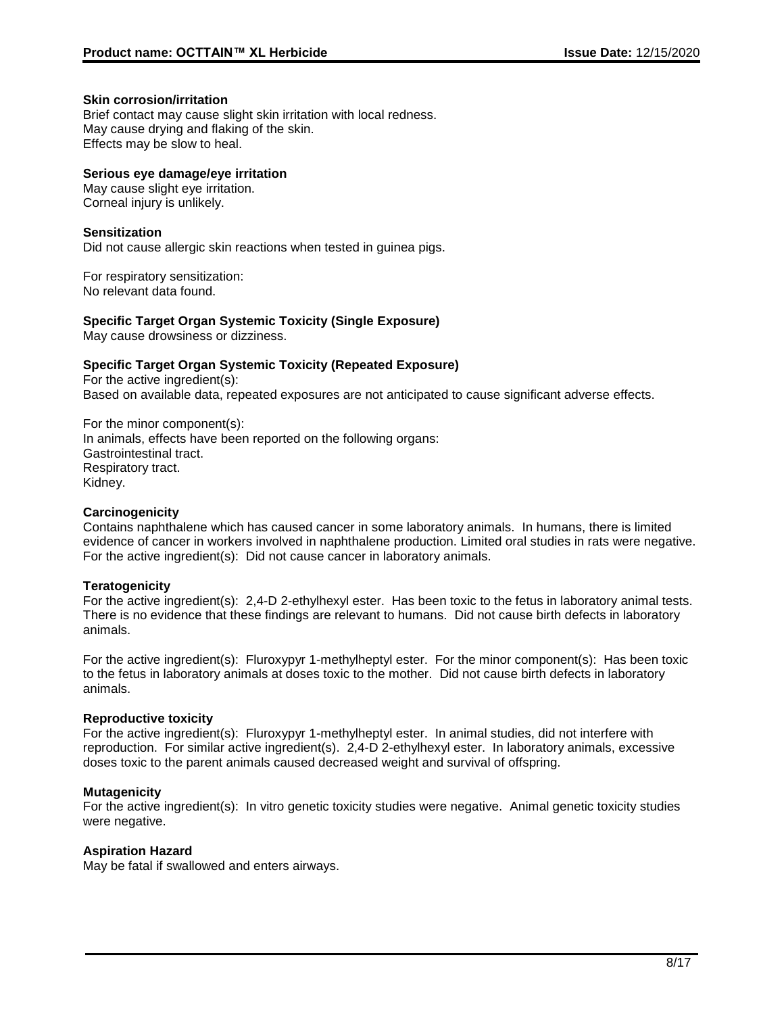#### **Skin corrosion/irritation**

Brief contact may cause slight skin irritation with local redness. May cause drying and flaking of the skin. Effects may be slow to heal.

## **Serious eye damage/eye irritation**

May cause slight eye irritation. Corneal injury is unlikely.

## **Sensitization**

Did not cause allergic skin reactions when tested in guinea pigs.

For respiratory sensitization: No relevant data found.

**Specific Target Organ Systemic Toxicity (Single Exposure)** May cause drowsiness or dizziness.

## **Specific Target Organ Systemic Toxicity (Repeated Exposure)**

For the active ingredient(s): Based on available data, repeated exposures are not anticipated to cause significant adverse effects.

For the minor component(s): In animals, effects have been reported on the following organs: Gastrointestinal tract. Respiratory tract. Kidney.

#### **Carcinogenicity**

Contains naphthalene which has caused cancer in some laboratory animals. In humans, there is limited evidence of cancer in workers involved in naphthalene production. Limited oral studies in rats were negative. For the active ingredient(s): Did not cause cancer in laboratory animals.

#### **Teratogenicity**

For the active ingredient(s): 2,4-D 2-ethylhexyl ester. Has been toxic to the fetus in laboratory animal tests. There is no evidence that these findings are relevant to humans. Did not cause birth defects in laboratory animals.

For the active ingredient(s): Fluroxypyr 1-methylheptyl ester. For the minor component(s): Has been toxic to the fetus in laboratory animals at doses toxic to the mother. Did not cause birth defects in laboratory animals.

#### **Reproductive toxicity**

For the active ingredient(s): Fluroxypyr 1-methylheptyl ester. In animal studies, did not interfere with reproduction. For similar active ingredient(s). 2,4-D 2-ethylhexyl ester. In laboratory animals, excessive doses toxic to the parent animals caused decreased weight and survival of offspring.

#### **Mutagenicity**

For the active ingredient(s): In vitro genetic toxicity studies were negative. Animal genetic toxicity studies were negative.

#### **Aspiration Hazard**

May be fatal if swallowed and enters airways.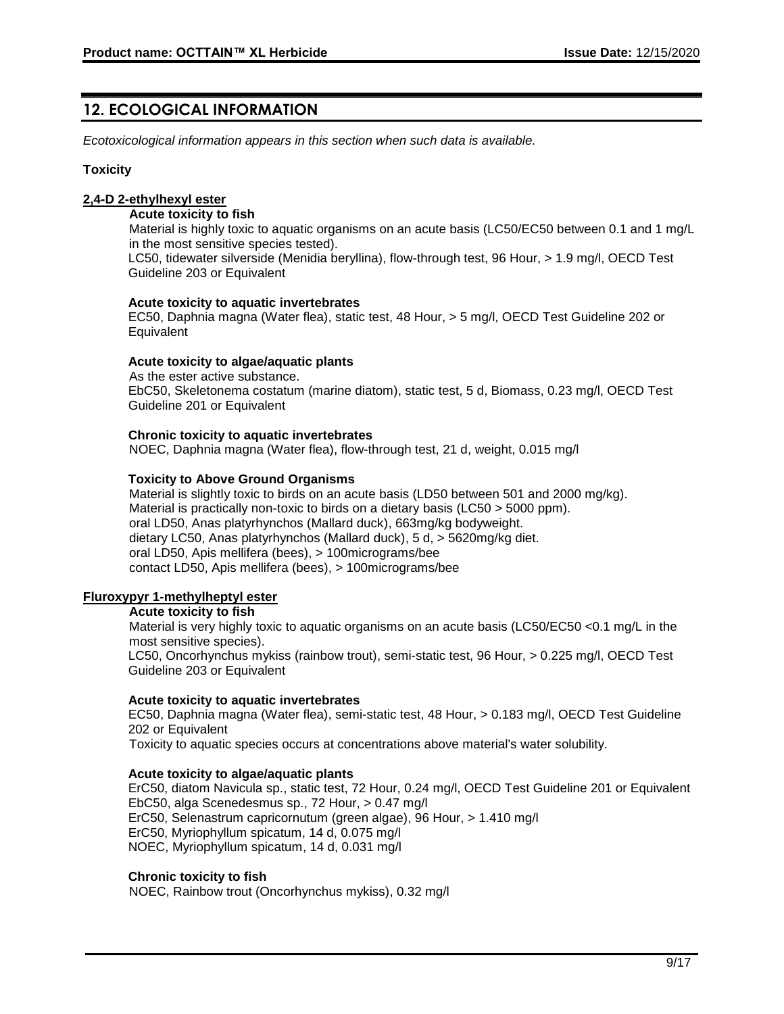# **12. ECOLOGICAL INFORMATION**

*Ecotoxicological information appears in this section when such data is available.*

#### **Toxicity**

## **2,4-D 2-ethylhexyl ester**

#### **Acute toxicity to fish**

Material is highly toxic to aquatic organisms on an acute basis (LC50/EC50 between 0.1 and 1 mg/L in the most sensitive species tested).

LC50, tidewater silverside (Menidia beryllina), flow-through test, 96 Hour, > 1.9 mg/l, OECD Test Guideline 203 or Equivalent

#### **Acute toxicity to aquatic invertebrates**

EC50, Daphnia magna (Water flea), static test, 48 Hour, > 5 mg/l, OECD Test Guideline 202 or **Equivalent** 

#### **Acute toxicity to algae/aquatic plants**

As the ester active substance. EbC50, Skeletonema costatum (marine diatom), static test, 5 d, Biomass, 0.23 mg/l, OECD Test Guideline 201 or Equivalent

#### **Chronic toxicity to aquatic invertebrates**

NOEC, Daphnia magna (Water flea), flow-through test, 21 d, weight, 0.015 mg/l

## **Toxicity to Above Ground Organisms**

Material is slightly toxic to birds on an acute basis (LD50 between 501 and 2000 mg/kg). Material is practically non-toxic to birds on a dietary basis (LC50 > 5000 ppm). oral LD50, Anas platyrhynchos (Mallard duck), 663mg/kg bodyweight. dietary LC50, Anas platyrhynchos (Mallard duck), 5 d, > 5620mg/kg diet. oral LD50, Apis mellifera (bees), > 100micrograms/bee contact LD50, Apis mellifera (bees), > 100micrograms/bee

## **Fluroxypyr 1-methylheptyl ester**

#### **Acute toxicity to fish**

Material is very highly toxic to aquatic organisms on an acute basis (LC50/EC50 <0.1 mg/L in the most sensitive species).

LC50, Oncorhynchus mykiss (rainbow trout), semi-static test, 96 Hour, > 0.225 mg/l, OECD Test Guideline 203 or Equivalent

#### **Acute toxicity to aquatic invertebrates**

EC50, Daphnia magna (Water flea), semi-static test, 48 Hour, > 0.183 mg/l, OECD Test Guideline 202 or Equivalent

Toxicity to aquatic species occurs at concentrations above material's water solubility.

#### **Acute toxicity to algae/aquatic plants**

ErC50, diatom Navicula sp., static test, 72 Hour, 0.24 mg/l, OECD Test Guideline 201 or Equivalent EbC50, alga Scenedesmus sp., 72 Hour, > 0.47 mg/l ErC50, Selenastrum capricornutum (green algae), 96 Hour, > 1.410 mg/l ErC50, Myriophyllum spicatum, 14 d, 0.075 mg/l NOEC, Myriophyllum spicatum, 14 d, 0.031 mg/l

#### **Chronic toxicity to fish**

NOEC, Rainbow trout (Oncorhynchus mykiss), 0.32 mg/l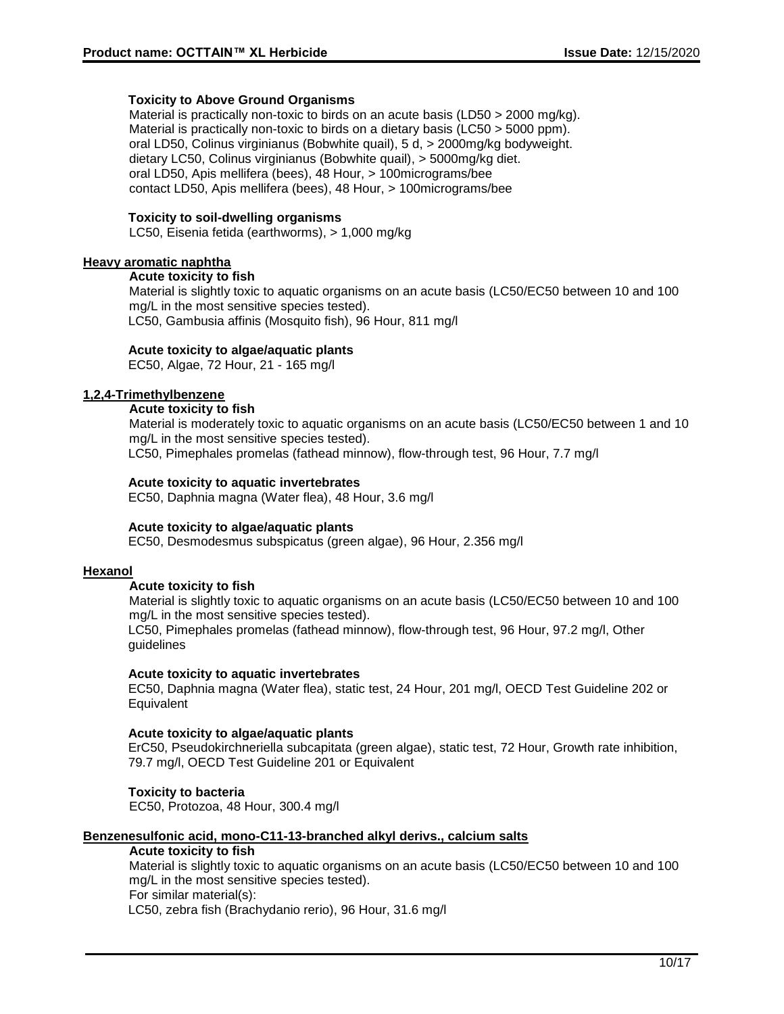#### **Toxicity to Above Ground Organisms**

Material is practically non-toxic to birds on an acute basis (LD50 > 2000 mg/kg). Material is practically non-toxic to birds on a dietary basis (LC50 > 5000 ppm). oral LD50, Colinus virginianus (Bobwhite quail), 5 d, > 2000mg/kg bodyweight. dietary LC50, Colinus virginianus (Bobwhite quail), > 5000mg/kg diet. oral LD50, Apis mellifera (bees), 48 Hour, > 100micrograms/bee contact LD50, Apis mellifera (bees), 48 Hour, > 100micrograms/bee

#### **Toxicity to soil-dwelling organisms**

LC50, Eisenia fetida (earthworms), > 1,000 mg/kg

#### **Heavy aromatic naphtha**

#### **Acute toxicity to fish**

Material is slightly toxic to aquatic organisms on an acute basis (LC50/EC50 between 10 and 100 mg/L in the most sensitive species tested). LC50, Gambusia affinis (Mosquito fish), 96 Hour, 811 mg/l

## **Acute toxicity to algae/aquatic plants**

EC50, Algae, 72 Hour, 21 - 165 mg/l

## **1,2,4-Trimethylbenzene**

## **Acute toxicity to fish**

Material is moderately toxic to aquatic organisms on an acute basis (LC50/EC50 between 1 and 10 mg/L in the most sensitive species tested).

LC50, Pimephales promelas (fathead minnow), flow-through test, 96 Hour, 7.7 mg/l

## **Acute toxicity to aquatic invertebrates**

EC50, Daphnia magna (Water flea), 48 Hour, 3.6 mg/l

#### **Acute toxicity to algae/aquatic plants**

EC50, Desmodesmus subspicatus (green algae), 96 Hour, 2.356 mg/l

#### **Hexanol**

#### **Acute toxicity to fish**

Material is slightly toxic to aquatic organisms on an acute basis (LC50/EC50 between 10 and 100 mg/L in the most sensitive species tested).

LC50, Pimephales promelas (fathead minnow), flow-through test, 96 Hour, 97.2 mg/l, Other guidelines

#### **Acute toxicity to aquatic invertebrates**

EC50, Daphnia magna (Water flea), static test, 24 Hour, 201 mg/l, OECD Test Guideline 202 or **Equivalent** 

#### **Acute toxicity to algae/aquatic plants**

ErC50, Pseudokirchneriella subcapitata (green algae), static test, 72 Hour, Growth rate inhibition, 79.7 mg/l, OECD Test Guideline 201 or Equivalent

# **Toxicity to bacteria**

EC50, Protozoa, 48 Hour, 300.4 mg/l

#### **Benzenesulfonic acid, mono-C11-13-branched alkyl derivs., calcium salts**

#### **Acute toxicity to fish**

Material is slightly toxic to aquatic organisms on an acute basis (LC50/EC50 between 10 and 100 mg/L in the most sensitive species tested). For similar material(s): LC50, zebra fish (Brachydanio rerio), 96 Hour, 31.6 mg/l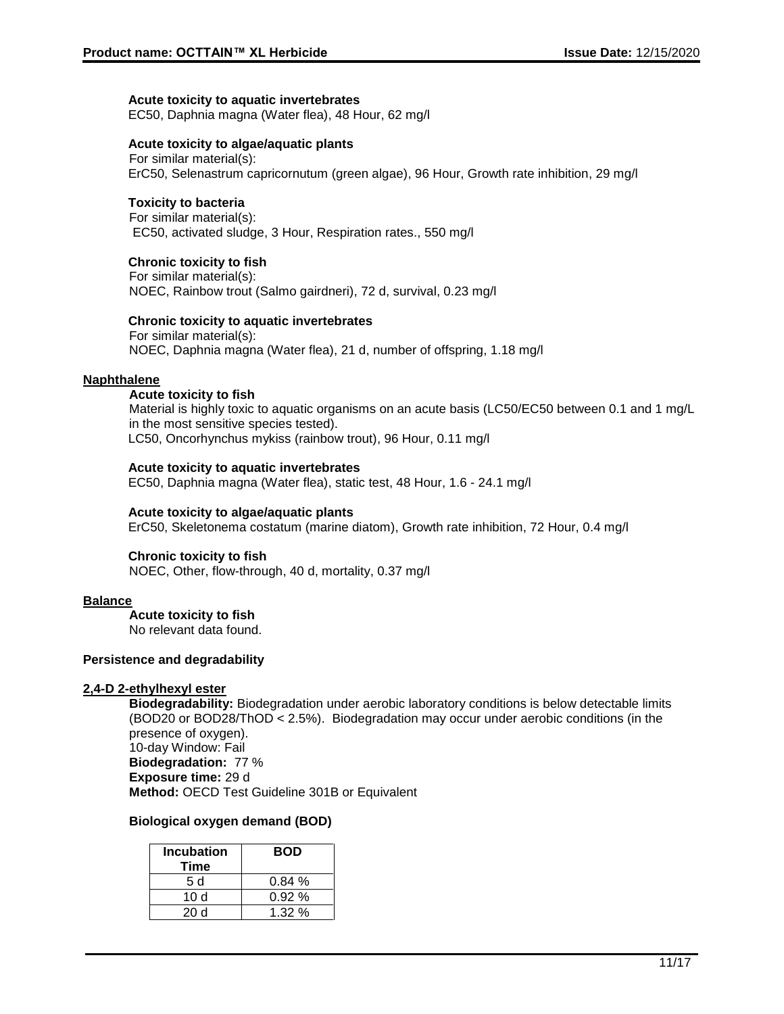#### **Acute toxicity to aquatic invertebrates**

EC50, Daphnia magna (Water flea), 48 Hour, 62 mg/l

#### **Acute toxicity to algae/aquatic plants**

For similar material(s): ErC50, Selenastrum capricornutum (green algae), 96 Hour, Growth rate inhibition, 29 mg/l

#### **Toxicity to bacteria**

For similar material(s): EC50, activated sludge, 3 Hour, Respiration rates., 550 mg/l

#### **Chronic toxicity to fish**

For similar material(s): NOEC, Rainbow trout (Salmo gairdneri), 72 d, survival, 0.23 mg/l

#### **Chronic toxicity to aquatic invertebrates**

For similar material(s): NOEC, Daphnia magna (Water flea), 21 d, number of offspring, 1.18 mg/l

#### **Naphthalene**

#### **Acute toxicity to fish**

Material is highly toxic to aquatic organisms on an acute basis (LC50/EC50 between 0.1 and 1 mg/L in the most sensitive species tested). LC50, Oncorhynchus mykiss (rainbow trout), 96 Hour, 0.11 mg/l

#### **Acute toxicity to aquatic invertebrates**

EC50, Daphnia magna (Water flea), static test, 48 Hour, 1.6 - 24.1 mg/l

#### **Acute toxicity to algae/aquatic plants**

ErC50, Skeletonema costatum (marine diatom), Growth rate inhibition, 72 Hour, 0.4 mg/l

#### **Chronic toxicity to fish**

NOEC, Other, flow-through, 40 d, mortality, 0.37 mg/l

#### **Balance**

**Acute toxicity to fish**

No relevant data found.

#### **Persistence and degradability**

#### **2,4-D 2-ethylhexyl ester**

**Biodegradability:** Biodegradation under aerobic laboratory conditions is below detectable limits (BOD20 or BOD28/ThOD < 2.5%). Biodegradation may occur under aerobic conditions (in the presence of oxygen). 10-day Window: Fail **Biodegradation:** 77 % **Exposure time:** 29 d **Method:** OECD Test Guideline 301B or Equivalent

#### **Biological oxygen demand (BOD)**

| <b>Incubation</b><br>Time | <b>BOD</b> |
|---------------------------|------------|
| 5 d                       | 0.84%      |
| 10 $d$                    | 0.92%      |
| 20d                       | 1.32%      |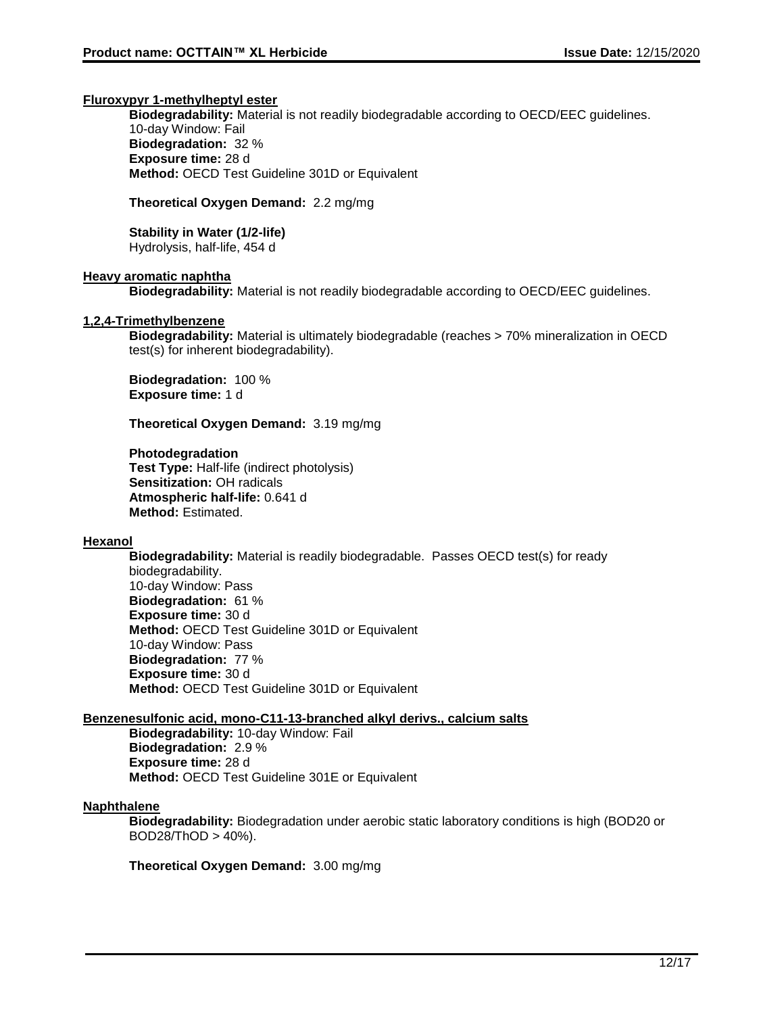#### **Fluroxypyr 1-methylheptyl ester**

**Biodegradability:** Material is not readily biodegradable according to OECD/EEC guidelines. 10-day Window: Fail **Biodegradation:** 32 % **Exposure time:** 28 d **Method:** OECD Test Guideline 301D or Equivalent

#### **Theoretical Oxygen Demand:** 2.2 mg/mg

# **Stability in Water (1/2-life)**

Hydrolysis, half-life, 454 d

#### **Heavy aromatic naphtha**

**Biodegradability:** Material is not readily biodegradable according to OECD/EEC guidelines.

#### **1,2,4-Trimethylbenzene**

**Biodegradability:** Material is ultimately biodegradable (reaches > 70% mineralization in OECD test(s) for inherent biodegradability).

**Biodegradation:** 100 % **Exposure time:** 1 d

**Theoretical Oxygen Demand:** 3.19 mg/mg

#### **Photodegradation**

**Test Type:** Half-life (indirect photolysis) **Sensitization:** OH radicals **Atmospheric half-life:** 0.641 d **Method:** Estimated.

#### **Hexanol**

**Biodegradability:** Material is readily biodegradable. Passes OECD test(s) for ready biodegradability. 10-day Window: Pass **Biodegradation:** 61 % **Exposure time:** 30 d **Method:** OECD Test Guideline 301D or Equivalent 10-day Window: Pass **Biodegradation:** 77 % **Exposure time:** 30 d **Method:** OECD Test Guideline 301D or Equivalent

#### **Benzenesulfonic acid, mono-C11-13-branched alkyl derivs., calcium salts**

**Biodegradability:** 10-day Window: Fail **Biodegradation:** 2.9 % **Exposure time:** 28 d **Method:** OECD Test Guideline 301E or Equivalent

#### **Naphthalene**

**Biodegradability:** Biodegradation under aerobic static laboratory conditions is high (BOD20 or BOD28/ThOD > 40%).

**Theoretical Oxygen Demand:** 3.00 mg/mg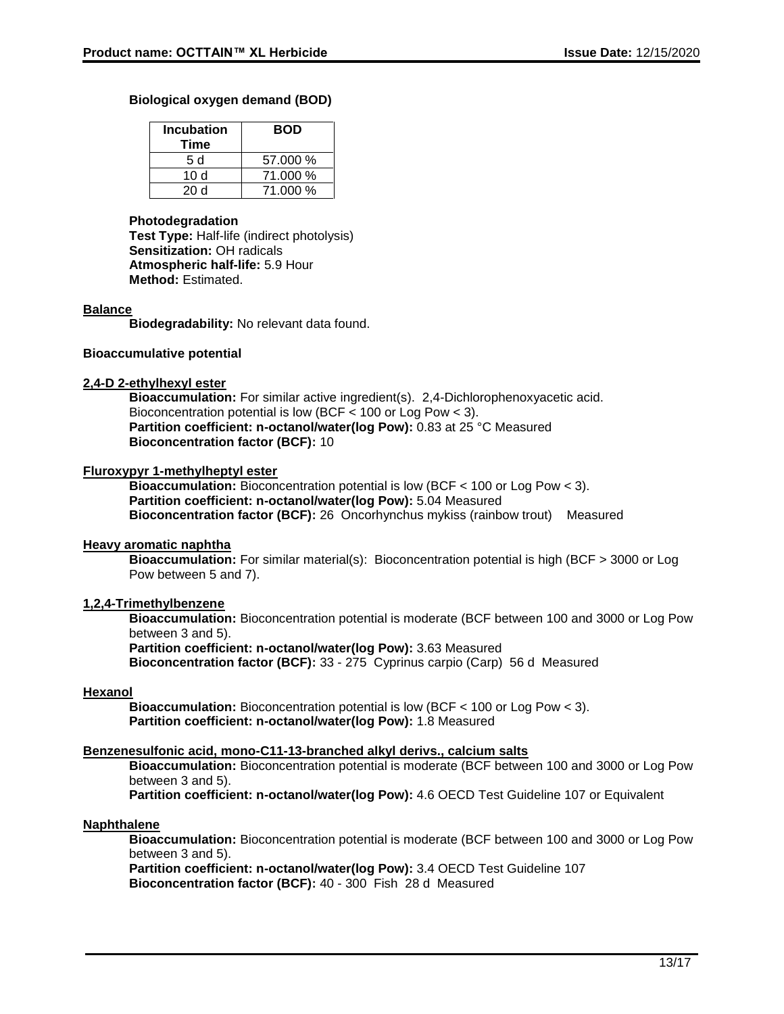#### **Biological oxygen demand (BOD)**

| <b>Incubation</b><br>Time | <b>BOD</b> |
|---------------------------|------------|
| 5 d                       | 57.000 %   |
| 10 $d$                    | 71.000 %   |
| 20d                       | 71.000 %   |

#### **Photodegradation**

**Test Type:** Half-life (indirect photolysis) **Sensitization:** OH radicals **Atmospheric half-life:** 5.9 Hour **Method:** Estimated.

#### **Balance**

**Biodegradability:** No relevant data found.

#### **Bioaccumulative potential**

#### **2,4-D 2-ethylhexyl ester**

**Bioaccumulation:** For similar active ingredient(s). 2,4-Dichlorophenoxyacetic acid. Bioconcentration potential is low (BCF < 100 or Log Pow < 3). **Partition coefficient: n-octanol/water(log Pow):** 0.83 at 25 °C Measured **Bioconcentration factor (BCF):** 10

#### **Fluroxypyr 1-methylheptyl ester**

**Bioaccumulation:** Bioconcentration potential is low (BCF < 100 or Log Pow < 3). **Partition coefficient: n-octanol/water(log Pow):** 5.04 Measured **Bioconcentration factor (BCF):** 26 Oncorhynchus mykiss (rainbow trout) Measured

#### **Heavy aromatic naphtha**

**Bioaccumulation:** For similar material(s): Bioconcentration potential is high (BCF > 3000 or Log Pow between 5 and 7).

#### **1,2,4-Trimethylbenzene**

**Bioaccumulation:** Bioconcentration potential is moderate (BCF between 100 and 3000 or Log Pow between 3 and 5).

**Partition coefficient: n-octanol/water(log Pow):** 3.63 Measured

**Bioconcentration factor (BCF):** 33 - 275 Cyprinus carpio (Carp) 56 d Measured

#### **Hexanol**

**Bioaccumulation:** Bioconcentration potential is low (BCF < 100 or Log Pow < 3). **Partition coefficient: n-octanol/water(log Pow):** 1.8 Measured

#### **Benzenesulfonic acid, mono-C11-13-branched alkyl derivs., calcium salts**

**Bioaccumulation:** Bioconcentration potential is moderate (BCF between 100 and 3000 or Log Pow between 3 and 5).

**Partition coefficient: n-octanol/water(log Pow):** 4.6 OECD Test Guideline 107 or Equivalent

#### **Naphthalene**

**Bioaccumulation:** Bioconcentration potential is moderate (BCF between 100 and 3000 or Log Pow between 3 and 5).

**Partition coefficient: n-octanol/water(log Pow):** 3.4 OECD Test Guideline 107 **Bioconcentration factor (BCF):** 40 - 300 Fish 28 d Measured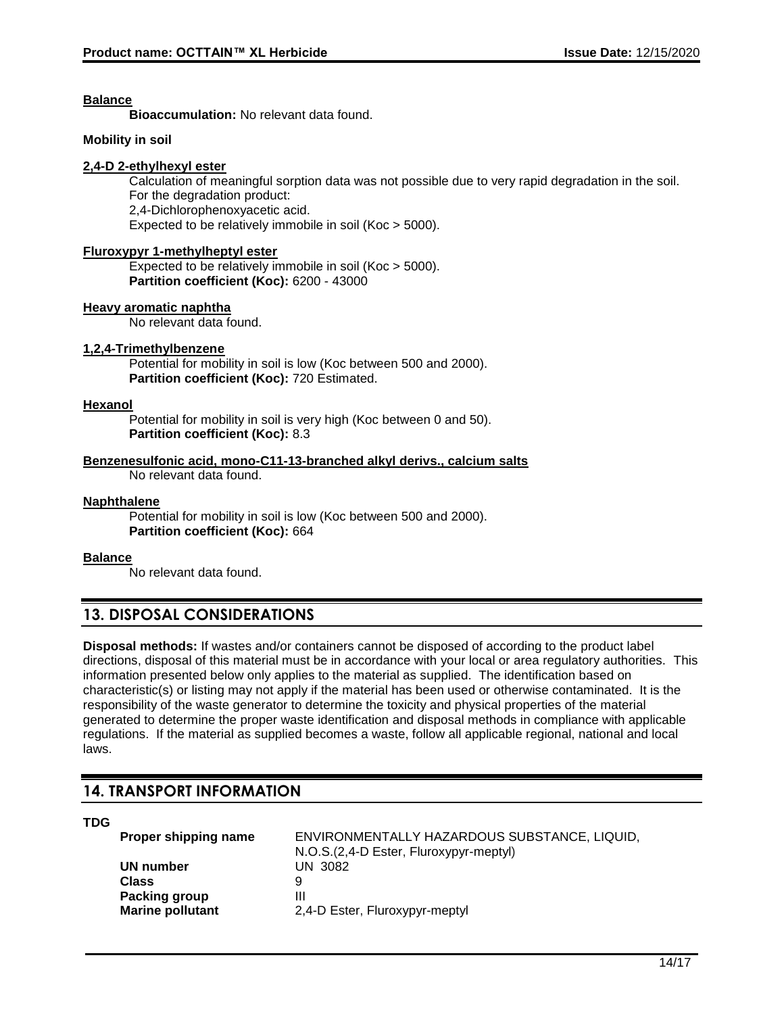#### **Balance**

**Bioaccumulation:** No relevant data found.

#### **Mobility in soil**

#### **2,4-D 2-ethylhexyl ester**

Calculation of meaningful sorption data was not possible due to very rapid degradation in the soil. For the degradation product: 2,4-Dichlorophenoxyacetic acid. Expected to be relatively immobile in soil (Koc > 5000).

#### **Fluroxypyr 1-methylheptyl ester**

Expected to be relatively immobile in soil (Koc > 5000). **Partition coefficient (Koc):** 6200 - 43000

#### **Heavy aromatic naphtha**

No relevant data found.

#### **1,2,4-Trimethylbenzene**

Potential for mobility in soil is low (Koc between 500 and 2000). **Partition coefficient (Koc):** 720 Estimated.

#### **Hexanol**

Potential for mobility in soil is very high (Koc between 0 and 50). **Partition coefficient (Koc):** 8.3

#### **Benzenesulfonic acid, mono-C11-13-branched alkyl derivs., calcium salts**

No relevant data found.

#### **Naphthalene**

Potential for mobility in soil is low (Koc between 500 and 2000). **Partition coefficient (Koc):** 664

#### **Balance**

No relevant data found.

# **13. DISPOSAL CONSIDERATIONS**

**Disposal methods:** If wastes and/or containers cannot be disposed of according to the product label directions, disposal of this material must be in accordance with your local or area regulatory authorities. This information presented below only applies to the material as supplied. The identification based on characteristic(s) or listing may not apply if the material has been used or otherwise contaminated. It is the responsibility of the waste generator to determine the toxicity and physical properties of the material generated to determine the proper waste identification and disposal methods in compliance with applicable regulations. If the material as supplied becomes a waste, follow all applicable regional, national and local laws.

# **14. TRANSPORT INFORMATION**

**TDG**

| Proper shipping name    | ENVIRONMENTALLY HAZARDOUS SUBSTANCE, LIQUID, |
|-------------------------|----------------------------------------------|
|                         | N.O.S. (2,4-D Ester, Fluroxypyr-meptyl)      |
| UN number               | UN 3082                                      |
| Class                   | a                                            |
| Packing group           | Ш                                            |
| <b>Marine pollutant</b> | 2,4-D Ester, Fluroxypyr-meptyl               |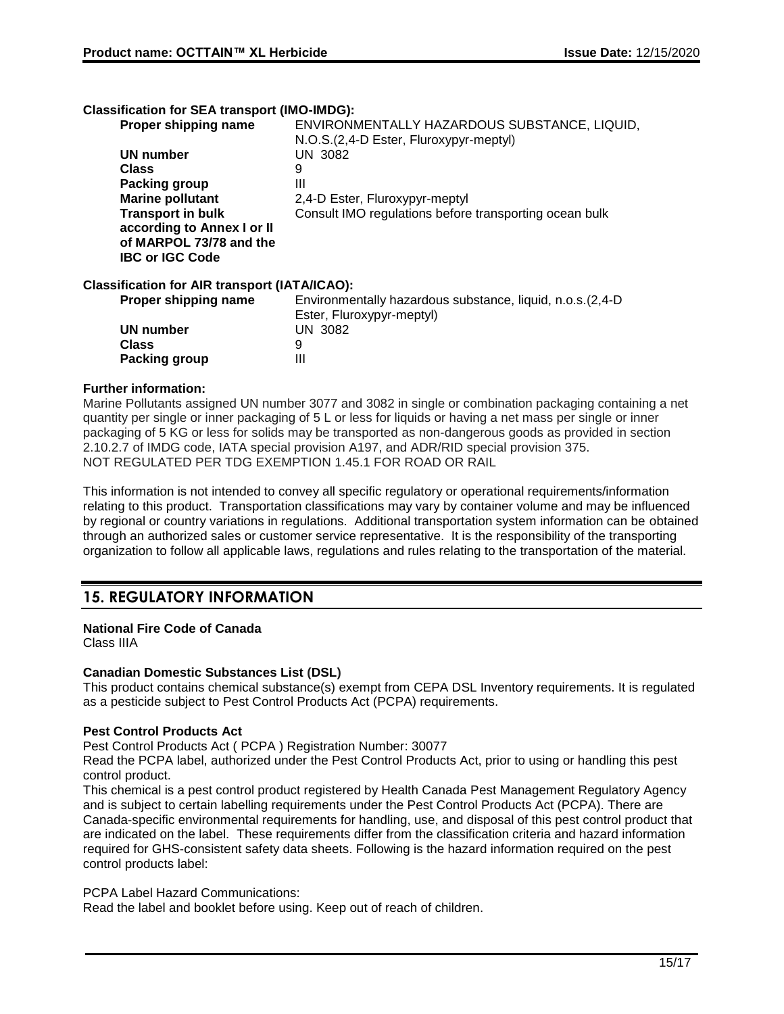#### **Classification for SEA transport (IMO-IMDG):**

| Proper shipping name                                 | ENVIRONMENTALLY HAZARDOUS SUBSTANCE, LIQUID,<br>N.O.S.(2,4-D Ester, Fluroxypyr-meptyl)   |
|------------------------------------------------------|------------------------------------------------------------------------------------------|
| UN number                                            | UN 3082                                                                                  |
| <b>Class</b>                                         | 9                                                                                        |
| Packing group                                        | Ш                                                                                        |
| <b>Marine pollutant</b>                              | 2,4-D Ester, Fluroxypyr-meptyl                                                           |
| <b>Transport in bulk</b>                             | Consult IMO regulations before transporting ocean bulk                                   |
| according to Annex I or II                           |                                                                                          |
| of MARPOL 73/78 and the                              |                                                                                          |
| <b>IBC or IGC Code</b>                               |                                                                                          |
| <b>Classification for AIR transport (IATA/ICAO):</b> |                                                                                          |
| Proper shipping name                                 | Environmentally hazardous substance, liquid, n.o.s. (2,4-D)<br>Ester, Fluroxypyr-meptyl) |
| UN number                                            | <b>UN 3082</b>                                                                           |
| <b>Class</b>                                         | 9                                                                                        |
| <b>Packing group</b>                                 | Ш                                                                                        |
|                                                      |                                                                                          |

#### **Further information:**

Marine Pollutants assigned UN number 3077 and 3082 in single or combination packaging containing a net quantity per single or inner packaging of 5 L or less for liquids or having a net mass per single or inner packaging of 5 KG or less for solids may be transported as non-dangerous goods as provided in section 2.10.2.7 of IMDG code, IATA special provision A197, and ADR/RID special provision 375. NOT REGULATED PER TDG EXEMPTION 1.45.1 FOR ROAD OR RAIL

This information is not intended to convey all specific regulatory or operational requirements/information relating to this product. Transportation classifications may vary by container volume and may be influenced by regional or country variations in regulations. Additional transportation system information can be obtained through an authorized sales or customer service representative. It is the responsibility of the transporting organization to follow all applicable laws, regulations and rules relating to the transportation of the material.

# **15. REGULATORY INFORMATION**

## **National Fire Code of Canada**

Class IIIA

#### **Canadian Domestic Substances List (DSL)**

This product contains chemical substance(s) exempt from CEPA DSL Inventory requirements. It is regulated as a pesticide subject to Pest Control Products Act (PCPA) requirements.

#### **Pest Control Products Act**

Pest Control Products Act ( PCPA ) Registration Number: 30077

Read the PCPA label, authorized under the Pest Control Products Act, prior to using or handling this pest control product.

This chemical is a pest control product registered by Health Canada Pest Management Regulatory Agency and is subject to certain labelling requirements under the Pest Control Products Act (PCPA). There are Canada-specific environmental requirements for handling, use, and disposal of this pest control product that are indicated on the label. These requirements differ from the classification criteria and hazard information required for GHS-consistent safety data sheets. Following is the hazard information required on the pest control products label:

PCPA Label Hazard Communications:

Read the label and booklet before using. Keep out of reach of children.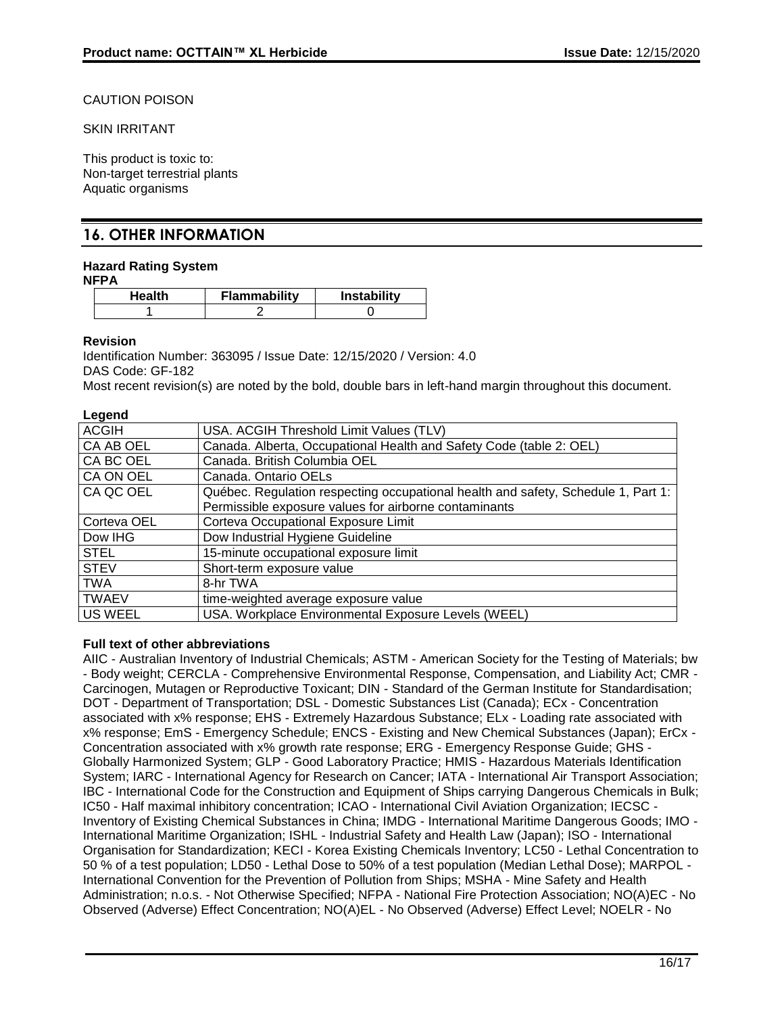## CAUTION POISON

SKIN IRRITANT

This product is toxic to: Non-target terrestrial plants Aquatic organisms

# **16. OTHER INFORMATION**

# **Hazard Rating System**

| Health | <b>Flammability</b> | <b>Instability</b> |
|--------|---------------------|--------------------|
|        |                     |                    |

## **Revision**

Identification Number: 363095 / Issue Date: 12/15/2020 / Version: 4.0 DAS Code: GF-182

Most recent revision(s) are noted by the bold, double bars in left-hand margin throughout this document.

## **Legend**

| USA. ACGIH Threshold Limit Values (TLV)                                           |
|-----------------------------------------------------------------------------------|
| Canada. Alberta, Occupational Health and Safety Code (table 2: OEL)               |
| Canada. British Columbia OEL                                                      |
| Canada. Ontario OELs                                                              |
| Québec. Regulation respecting occupational health and safety, Schedule 1, Part 1: |
| Permissible exposure values for airborne contaminants                             |
| Corteva Occupational Exposure Limit                                               |
| Dow Industrial Hygiene Guideline                                                  |
| 15-minute occupational exposure limit                                             |
| Short-term exposure value                                                         |
| 8-hr TWA                                                                          |
| time-weighted average exposure value                                              |
| USA. Workplace Environmental Exposure Levels (WEEL)                               |
|                                                                                   |

# **Full text of other abbreviations**

AIIC - Australian Inventory of Industrial Chemicals; ASTM - American Society for the Testing of Materials; bw - Body weight; CERCLA - Comprehensive Environmental Response, Compensation, and Liability Act; CMR - Carcinogen, Mutagen or Reproductive Toxicant; DIN - Standard of the German Institute for Standardisation; DOT - Department of Transportation; DSL - Domestic Substances List (Canada); ECx - Concentration associated with x% response; EHS - Extremely Hazardous Substance; ELx - Loading rate associated with x% response; EmS - Emergency Schedule; ENCS - Existing and New Chemical Substances (Japan); ErCx - Concentration associated with x% growth rate response; ERG - Emergency Response Guide; GHS - Globally Harmonized System; GLP - Good Laboratory Practice; HMIS - Hazardous Materials Identification System; IARC - International Agency for Research on Cancer; IATA - International Air Transport Association; IBC - International Code for the Construction and Equipment of Ships carrying Dangerous Chemicals in Bulk; IC50 - Half maximal inhibitory concentration; ICAO - International Civil Aviation Organization; IECSC - Inventory of Existing Chemical Substances in China; IMDG - International Maritime Dangerous Goods; IMO - International Maritime Organization; ISHL - Industrial Safety and Health Law (Japan); ISO - International Organisation for Standardization; KECI - Korea Existing Chemicals Inventory; LC50 - Lethal Concentration to 50 % of a test population; LD50 - Lethal Dose to 50% of a test population (Median Lethal Dose); MARPOL - International Convention for the Prevention of Pollution from Ships; MSHA - Mine Safety and Health Administration; n.o.s. - Not Otherwise Specified; NFPA - National Fire Protection Association; NO(A)EC - No Observed (Adverse) Effect Concentration; NO(A)EL - No Observed (Adverse) Effect Level; NOELR - No